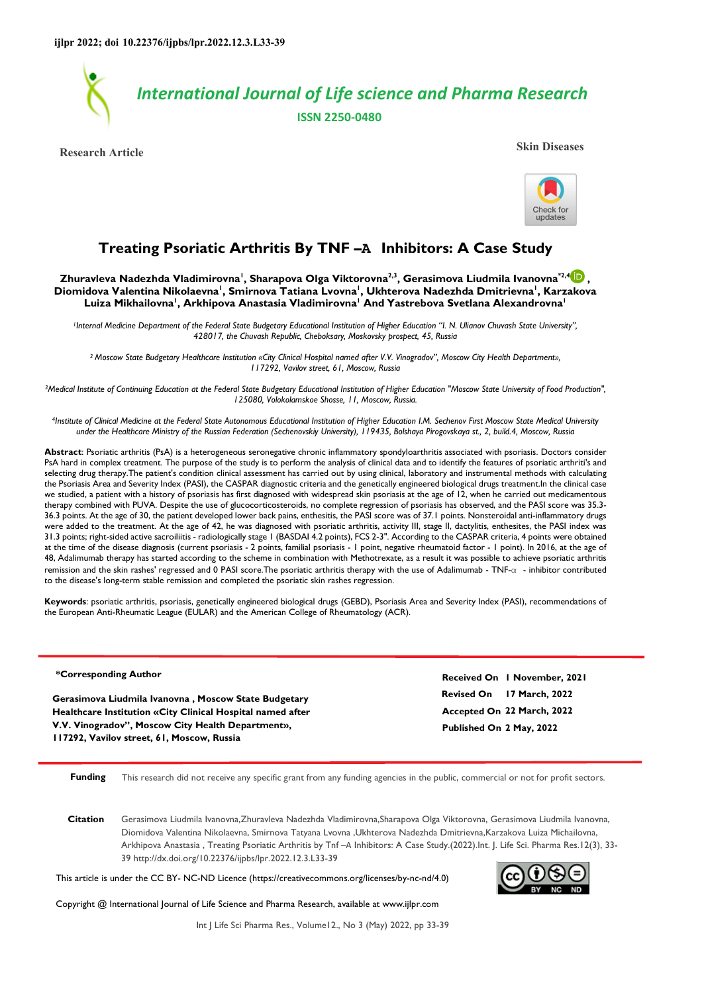

**Research Article Skin Diseases**



# **Treating Psoriatic Arthritis By TNF –Α Inhibitors: A Case Study**

**Zhuravleva Nadezhda Vladimirovna<sup>1</sup> , Sharapova Olga Viktorovna2,3, Gerasimova Liudmila Ivanovna\*2,4 , Diomidova Valentina Nikolaevna<sup>1</sup> , Smirnova Tatiana Lvovna<sup>1</sup> , Ukhterova Nadezhda Dmitrievna<sup>1</sup> , Karzakova Luiza Mikhailovna<sup>1</sup> , Arkhipova Anastasia Vladimirovna<sup>1</sup> And Yastrebova Svetlana Alexandrovna<sup>1</sup>**

<sup>1</sup>Internal Medicine Department of the Federal State Budgetary Educational Institution of Higher Education "I. N. Ulianov Chuvash State University", *428017, the Chuvash Republic, Cheboksary, Moskovsky prospect, 45, Russia* 

*<sup>2</sup>Moscow State Budgetary Healthcare Institution «City Clinical Hospital named after V.V. Vinogradov", Moscow City Health Department», 117292, Vavilov street, 61, Moscow, Russia* 

<sup>3</sup>*Medical Institute of Continuing Education at the Federal State Budgetary Educational Institution of Higher Education "Moscow State University of Food Production", 125080, Volokolamskoe Shosse, 11, Moscow, Russia.* 

*<sup>4</sup>Institute of Clinical Medicine at the Federal State Autonomous Educational Institution of Higher Education I.M. Sechenov First Moscow State Medical University under the Healthcare Ministry of the Russian Federation (Sechenovskiy University), 119435, Bolshaya Pirogovskaya st., 2, build.4, Moscow, Russia* 

**Abstract**: Psoriatic arthritis (PsA) is a heterogeneous seronegative chronic inflammatory spondyloarthritis associated with psoriasis. Doctors consider PsA hard in complex treatment. The purpose of the study is to perform the analysis of clinical data and to identify the features of psoriatic arthriti's and selecting drug therapy.The patient's condition clinical assessment has carried out by using clinical, laboratory and instrumental methods with calculating the Psoriasis Area and Severity Index (PASI), the CASPAR diagnostic criteria and the genetically engineered biological drugs treatment.In the clinical case we studied, a patient with a history of psoriasis has first diagnosed with widespread skin psoriasis at the age of 12, when he carried out medicamentous therapy combined with PUVA. Despite the use of glucocorticosteroids, no complete regression of psoriasis has observed, and the PASI score was 35.3- 36.3 points. At the age of 30, the patient developed lower back pains, enthesitis, the PASI score was of 37.1 points. Nonsteroidal anti-inflammatory drugs were added to the treatment. At the age of 42, he was diagnosed with psoriatic arthritis, activity III, stage II, dactylitis, enthesites, the PASI index was 31.3 points; right-sided active sacroiliitis - radiologically stage 1 (BASDAI 4.2 points), FCS 2-3". According to the CASPAR criteria, 4 points were obtained at the time of the disease diagnosis (current psoriasis - 2 points, familial psoriasis - 1 point, negative rheumatoid factor - 1 point). In 2016, at the age of 48, Adalimumab therapy has started according to the scheme in combination with Methotrexate, as a result it was possible to achieve psoriatic arthritis remission and the skin rashes' regressed and 0 PASI score.The psoriatic arthritis therapy with the use of Adalimumab - TNF-α - inhibitor contributed to the disease's long-term stable remission and completed the psoriatic skin rashes regression.

**Keywords**: psoriatic arthritis, psoriasis, genetically engineered biological drugs (GEBD), Psoriasis Area and Severity Index (PASI), recommendations of the European Anti-Rheumatic League (EULAR) and the American College of Rheumatology (ACR).

### **\*Corresponding Author**

**Gerasimova Liudmila Ivanovna , Moscow State Budgetary Healthcare Institution «City Clinical Hospital named after V.V. Vinogradov", Moscow City Health Department», 117292, Vavilov street, 61, Moscow, Russia**

**Revised On 17 March, 2022 Accepted On 22 March, 2022 Published On 2 May, 2022 Received On 1 November, 2021**

**Funding** This research did not receive any specific grant from any funding agencies in the public, commercial or not for profit sectors.

**Citation** Gerasimova Liudmila Ivanovna,Zhuravleva Nadezhda Vladimirovna,Sharapova Olga Viktorovna, Gerasimova Liudmila Ivanovna, Diomidova Valentina Nikolaevna, Smirnova Tatyana Lvovna ,Ukhterova Nadezhda Dmitrievna,Karzakova Luiza Michailovna, Arkhipova Anastasia , Treating Psoriatic Arthritis by Tnf –Α Inhibitors: A Case Study.(2022).Int. J. Life Sci. Pharma Res.12(3), 33- 39 http://dx.doi.org/10.22376/ijpbs/lpr.2022.12.3.L33-39

This article is under the CC BY- NC-ND Licence (https://creativecommons.org/licenses/by-nc-nd/4.0)



Copyright @ International Journal of Life Science and Pharma Research, available at www.ijlpr.com

Int J Life Sci Pharma Res., Volume12., No 3 (May) 2022, pp 33-39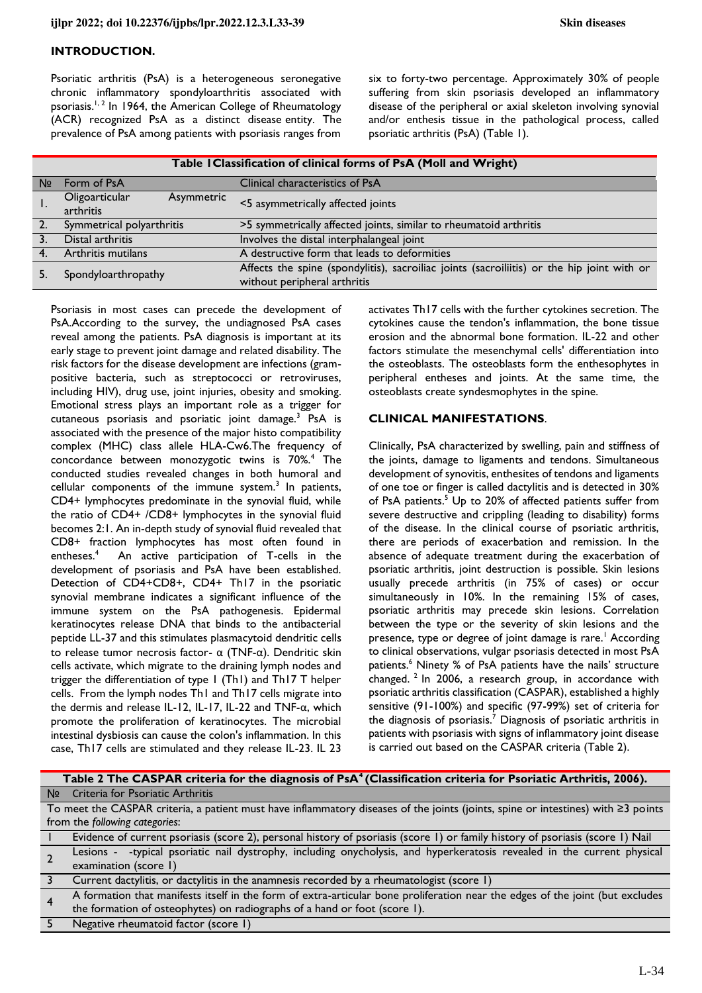### **INTRODUCTION.**

Psoriatic arthritis (PsA) is a heterogeneous seronegative chronic inflammatory spondyloarthritis associated with psoriasis.<sup>1, 2</sup> In 1964, the American College of Rheumatology (ACR) recognized PsA as a distinct disease entity. The prevalence of PsA among patients with psoriasis ranges from

six to forty-two percentage. Approximately 30% of people suffering from skin psoriasis developed an inflammatory disease of the peripheral or axial skeleton involving synovial and/or enthesis tissue in the pathological process, called psoriatic arthritis (PsA) (Table 1).

| Table I Classification of clinical forms of PsA (Moll and Wright) |                                           |                                                                                                                            |  |
|-------------------------------------------------------------------|-------------------------------------------|----------------------------------------------------------------------------------------------------------------------------|--|
| Nº                                                                | Form of PsA                               | Clinical characteristics of PsA                                                                                            |  |
| ι.                                                                | Oligoarticular<br>Asymmetric<br>arthritis | <5 asymmetrically affected joints                                                                                          |  |
|                                                                   | Symmetrical polyarthritis                 | >5 symmetrically affected joints, similar to rheumatoid arthritis                                                          |  |
|                                                                   | Distal arthritis                          | Involves the distal interphalangeal joint                                                                                  |  |
|                                                                   | Arthritis mutilans                        | A destructive form that leads to deformities                                                                               |  |
|                                                                   | Spondyloarthropathy                       | Affects the spine (spondylitis), sacroiliac joints (sacroiliitis) or the hip joint with or<br>without peripheral arthritis |  |

Psoriasis in most cases can precede the development of PsA.According to the survey, the undiagnosed PsA cases reveal among the patients. PsA diagnosis is important at its early stage to prevent joint damage and related disability. The risk factors for the disease development are infections (grampositive bacteria, such as streptococci or retroviruses, including HIV), drug use, joint injuries, obesity and smoking. Emotional stress plays an important role as a trigger for cutaneous psoriasis and psoriatic joint damage.<sup>3</sup> PsA is associated with the presence of the major histo compatibility complex (MHC) class allele HLA-Cw6.The frequency of concordance between monozygotic twins is 70%.<sup>4</sup> The conducted studies revealed changes in both humoral and cellular components of the immune system.<sup>3</sup> In patients, CD4+ lymphocytes predominate in the synovial fluid, while the ratio of CD4+ /CD8+ lymphocytes in the synovial fluid becomes 2:1. An in-depth study of synovial fluid revealed that CD8+ fraction lymphocytes has most often found in entheses.<sup>4</sup> An active participation of T-cells in the development of psoriasis and PsA have been established. Detection of CD4+CD8+, CD4+ Th17 in the psoriatic synovial membrane indicates a significant influence of the immune system on the PsA pathogenesis. Epidermal keratinocytes release DNA that binds to the antibacterial peptide LL-37 and this stimulates plasmacytoid dendritic cells to release tumor necrosis factor- α (TNF-α). Dendritic skin cells activate, which migrate to the draining lymph nodes and trigger the differentiation of type 1 (Th1) and Th17 T helper cells. From the lymph nodes Th1 and Th17 cells migrate into the dermis and release IL-12, IL-17, IL-22 and TNF-α, which promote the proliferation of keratinocytes. The microbial intestinal dysbiosis can cause the colon's inflammation. In this case, Th17 cells are stimulated and they release IL-23. IL 23

activates Th17 cells with the further cytokines secretion. The cytokines cause the tendon's inflammation, the bone tissue erosion and the abnormal bone formation. IL-22 and other factors stimulate the mesenchymal cells' differentiation into the osteoblasts. The osteoblasts form the enthesophytes in peripheral entheses and joints. At the same time, the osteoblasts create syndesmophytes in the spine.

### **CLINICAL MANIFESTATIONS**.

Clinically, PsA characterized by swelling, pain and stiffness of the joints, damage to ligaments and tendons. Simultaneous development of synovitis, enthesites of tendons and ligaments of one toe or finger is called dactylitis and is detected in 30% of PsA patients.<sup>5</sup> Up to 20% of affected patients suffer from severe destructive and crippling (leading to disability) forms of the disease. In the clinical course of psoriatic arthritis, there are periods of exacerbation and remission. In the absence of adequate treatment during the exacerbation of psoriatic arthritis, joint destruction is possible. Skin lesions usually precede arthritis (in 75% of cases) or occur simultaneously in 10%. In the remaining 15% of cases, psoriatic arthritis may precede skin lesions. Correlation between the type or the severity of skin lesions and the presence, type or degree of joint damage is rare.<sup>1</sup> According to clinical observations, vulgar psoriasis detected in most PsA patients.<sup>6</sup> Ninety % of PsA patients have the nails' structure changed.<sup>2</sup> In 2006, a research group, in accordance with psoriatic arthritis classification (CASPAR), established a highly sensitive (91-100%) and specific (97-99%) set of criteria for the diagnosis of psoriasis.<sup>7</sup> Diagnosis of psoriatic arthritis in patients with psoriasis with signs of inflammatory joint disease is carried out based on the CASPAR criteria (Table 2).

| Table 2 The CASPAR criteria for the diagnosis of PsA <sup>4</sup> (Classification criteria for Psoriatic Arthritis, 2006).              |                                                                                                                                |  |
|-----------------------------------------------------------------------------------------------------------------------------------------|--------------------------------------------------------------------------------------------------------------------------------|--|
|                                                                                                                                         | Nº Criteria for Psoriatic Arthritis                                                                                            |  |
| To meet the CASPAR criteria, a patient must have inflammatory diseases of the joints (joints, spine or intestines) with $\geq$ 3 points |                                                                                                                                |  |
| from the following categories:                                                                                                          |                                                                                                                                |  |
|                                                                                                                                         | Evidence of current psoriasis (score 2), personal history of psoriasis (score 1) or family history of psoriasis (score 1) Nail |  |
|                                                                                                                                         | Lesions - -typical psoriatic nail dystrophy, including onycholysis, and hyperkeratosis revealed in the current physical        |  |
|                                                                                                                                         | examination (score 1)                                                                                                          |  |
|                                                                                                                                         | Current dactylitis, or dactylitis in the anamnesis recorded by a rheumatologist (score 1)                                      |  |
|                                                                                                                                         | A formation that manifests itself in the form of extra-articular bone proliferation near the edges of the joint (but excludes  |  |
|                                                                                                                                         | the formation of osteophytes) on radiographs of a hand or foot (score 1).                                                      |  |
|                                                                                                                                         | Negative rheumatoid factor (score 1)                                                                                           |  |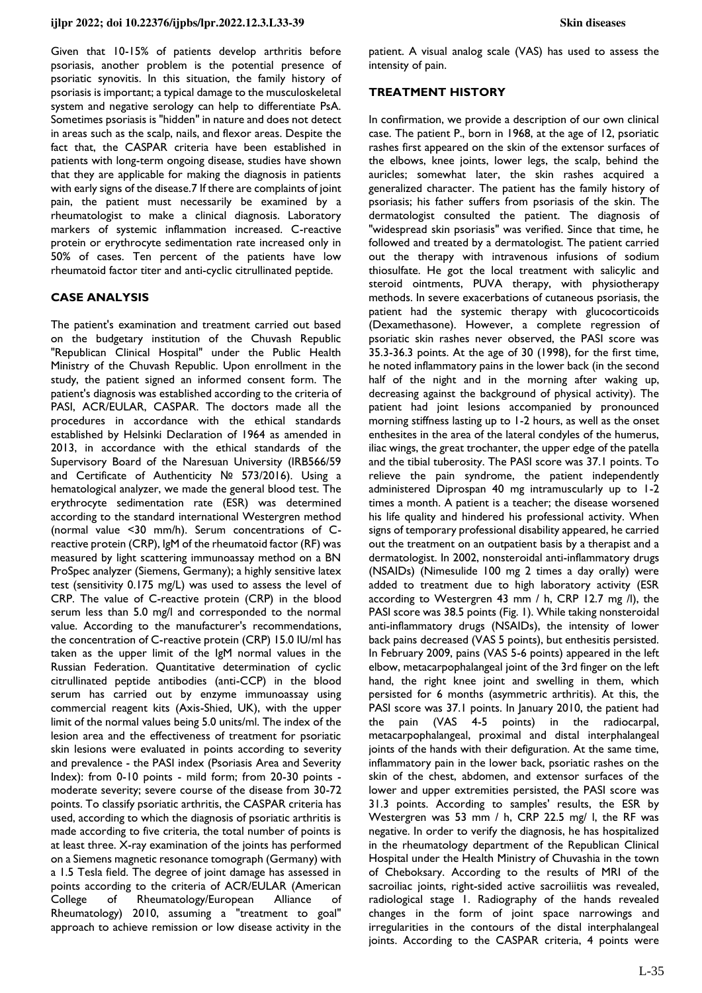Given that 10-15% of patients develop arthritis before psoriasis, another problem is the potential presence of psoriatic synovitis. In this situation, the family history of psoriasis is important; a typical damage to the musculoskeletal system and negative serology can help to differentiate PsA. Sometimes psoriasis is "hidden" in nature and does not detect in areas such as the scalp, nails, and flexor areas. Despite the fact that, the CASPAR criteria have been established in patients with long-term ongoing disease, studies have shown that they are applicable for making the diagnosis in patients with early signs of the disease.7 If there are complaints of joint pain, the patient must necessarily be examined by a rheumatologist to make a clinical diagnosis. Laboratory markers of systemic inflammation increased. C-reactive protein or erythrocyte sedimentation rate increased only in 50% of cases. Ten percent of the patients have low rheumatoid factor titer and anti-cyclic citrullinated peptide.

### **CASE ANALYSIS**

The patient's examination and treatment carried out based on the budgetary institution of the Chuvash Republic "Republican Clinical Hospital" under the Public Health Ministry of the Chuvash Republic. Upon enrollment in the study, the patient signed an informed consent form. The patient's diagnosis was established according to the criteria of PASI, ACR/EULAR, CASPAR. The doctors made all the procedures in accordance with the ethical standards established by Helsinki Declaration of 1964 as amended in 2013, in accordance with the ethical standards of the Supervisory Board of the Naresuan University (IRB566/59 and Certificate of Authenticity № 573/2016). Using a hematological analyzer, we made the general blood test. The erythrocyte sedimentation rate (ESR) was determined according to the standard international Westergren method (normal value <30 mm/h). Serum concentrations of Creactive protein (CRP), IgM of the rheumatoid factor (RF) was measured by light scattering immunoassay method on a BN ProSpec analyzer (Siemens, Germany); a highly sensitive latex test (sensitivity 0.175 mg/L) was used to assess the level of CRP. The value of C-reactive protein (CRP) in the blood serum less than 5.0 mg/l and corresponded to the normal value. According to the manufacturer's recommendations, the concentration of C-reactive protein (CRP) 15.0 IU/ml has taken as the upper limit of the IgM normal values in the Russian Federation. Quantitative determination of cyclic citrullinated peptide antibodies (anti-CCP) in the blood serum has carried out by enzyme immunoassay using commercial reagent kits (Axis-Shied, UK), with the upper limit of the normal values being 5.0 units/ml. The index of the lesion area and the effectiveness of treatment for psoriatic skin lesions were evaluated in points according to severity and prevalence - the PASI index (Psoriasis Area and Severity Index): from 0-10 points - mild form; from 20-30 points moderate severity; severe course of the disease from 30-72 points. To classify psoriatic arthritis, the CASPAR criteria has used, according to which the diagnosis of psoriatic arthritis is made according to five criteria, the total number of points is at least three. X-ray examination of the joints has performed on a Siemens magnetic resonance tomograph (Germany) with a 1.5 Tesla field. The degree of joint damage has assessed in points according to the criteria of ACR/EULAR (American College of Rheumatology/European Alliance Rheumatology) 2010, assuming a "treatment to goal" approach to achieve remission or low disease activity in the

patient. A visual analog scale (VAS) has used to assess the intensity of pain.

## **TREATMENT HISTORY**

In confirmation, we provide a description of our own clinical case. The patient P., born in 1968, at the age of 12, psoriatic rashes first appeared on the skin of the extensor surfaces of the elbows, knee joints, lower legs, the scalp, behind the auricles; somewhat later, the skin rashes acquired a generalized character. The patient has the family history of psoriasis; his father suffers from psoriasis of the skin. The dermatologist consulted the patient. The diagnosis of "widespread skin psoriasis" was verified. Since that time, he followed and treated by a dermatologist. The patient carried out the therapy with intravenous infusions of sodium thiosulfate. He got the local treatment with salicylic and steroid ointments, PUVA therapy, with physiotherapy methods. In severe exacerbations of cutaneous psoriasis, the patient had the systemic therapy with glucocorticoids (Dexamethasone). However, a complete regression of psoriatic skin rashes never observed, the PASI score was 35.3-36.3 points. At the age of 30 (1998), for the first time, he noted inflammatory pains in the lower back (in the second half of the night and in the morning after waking up, decreasing against the background of physical activity). The patient had joint lesions accompanied by pronounced morning stiffness lasting up to 1-2 hours, as well as the onset enthesites in the area of the lateral condyles of the humerus, iliac wings, the great trochanter, the upper edge of the patella and the tibial tuberosity. The PASI score was 37.1 points. To relieve the pain syndrome, the patient independently administered Diprospan 40 mg intramuscularly up to 1-2 times a month. A patient is a teacher; the disease worsened his life quality and hindered his professional activity. When signs of temporary professional disability appeared, he carried out the treatment on an outpatient basis by a therapist and a dermatologist. In 2002, nonsteroidal anti-inflammatory drugs (NSAIDs) (Nimesulide 100 mg 2 times a day orally) were added to treatment due to high laboratory activity (ESR according to Westergren 43 mm / h, CRP 12.7 mg /l), the PASI score was 38.5 points (Fig. 1). While taking nonsteroidal anti-inflammatory drugs (NSAIDs), the intensity of lower back pains decreased (VAS 5 points), but enthesitis persisted. In February 2009, pains (VAS 5-6 points) appeared in the left elbow, metacarpophalangeal joint of the 3rd finger on the left hand, the right knee joint and swelling in them, which persisted for 6 months (asymmetric arthritis). At this, the PASI score was 37.1 points. In January 2010, the patient had the pain (VAS 4-5 points) in the radiocarpal, metacarpophalangeal, proximal and distal interphalangeal joints of the hands with their defiguration. At the same time, inflammatory pain in the lower back, psoriatic rashes on the skin of the chest, abdomen, and extensor surfaces of the lower and upper extremities persisted, the PASI score was 31.3 points. According to samples' results, the ESR by Westergren was 53 mm / h, CRP 22.5 mg/ l, the RF was negative. In order to verify the diagnosis, he has hospitalized in the rheumatology department of the Republican Clinical Hospital under the Health Ministry of Chuvashia in the town of Cheboksary. According to the results of MRI of the sacroiliac joints, right-sided active sacroiliitis was revealed, radiological stage 1. Radiography of the hands revealed changes in the form of joint space narrowings and irregularities in the contours of the distal interphalangeal joints. According to the CASPAR criteria, 4 points were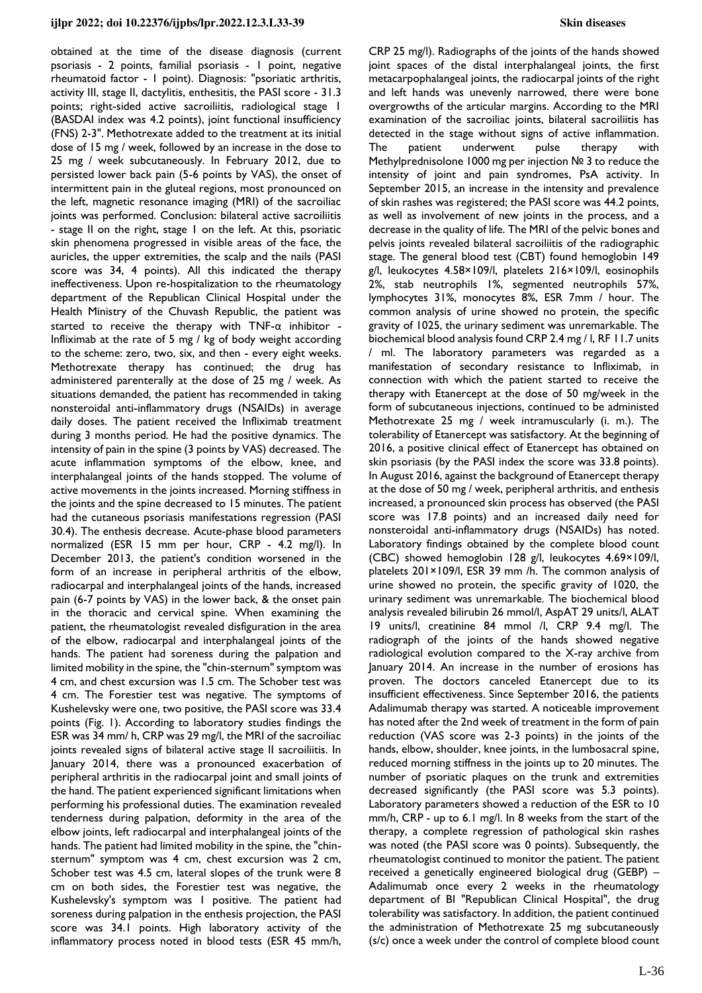obtained at the time of the disease diagnosis (current psoriasis - 2 points, familial psoriasis - 1 point, negative rheumatoid factor - 1 point). Diagnosis: "psoriatic arthritis, activity III, stage II, dactylitis, enthesitis, the PASI score - 31.3 points; right-sided active sacroiliitis, radiological stage 1 (BASDAI index was 4.2 points), joint functional insufficiency (FNS) 2-3". Methotrexate added to the treatment at its initial dose of 15 mg / week, followed by an increase in the dose to 25 mg / week subcutaneously. In February 2012, due to persisted lower back pain (5-6 points by VAS), the onset of intermittent pain in the gluteal regions, most pronounced on the left, magnetic resonance imaging (MRI) of the sacroiliac joints was performed. Conclusion: bilateral active sacroiliitis - stage II on the right, stage 1 on the left. At this, psoriatic skin phenomena progressed in visible areas of the face, the auricles, the upper extremities, the scalp and the nails (PASI score was 34, 4 points). All this indicated the therapy ineffectiveness. Upon re-hospitalization to the rheumatology department of the Republican Clinical Hospital under the Health Ministry of the Chuvash Republic, the patient was started to receive the therapy with  $TNF-\alpha$  inhibitor -Infliximab at the rate of 5 mg / kg of body weight according to the scheme: zero, two, six, and then - every eight weeks. Methotrexate therapy has continued; the drug has administered parenterally at the dose of 25 mg / week. As situations demanded, the patient has recommended in taking nonsteroidal anti-inflammatory drugs (NSAIDs) in average daily doses. The patient received the Infliximab treatment during 3 months period. He had the positive dynamics. The intensity of pain in the spine (3 points by VAS) decreased. The acute inflammation symptoms of the elbow, knee, and interphalangeal joints of the hands stopped. The volume of active movements in the joints increased. Morning stiffness in the joints and the spine decreased to 15 minutes. The patient had the cutaneous psoriasis manifestations regression (PASI 30.4). The enthesis decrease. Acute-phase blood parameters normalized (ESR 15 mm per hour, CRP - 4.2 mg/l). In December 2013, the patient's condition worsened in the form of an increase in peripheral arthritis of the elbow, radiocarpal and interphalangeal joints of the hands, increased pain (6-7 points by VAS) in the lower back, & the onset pain in the thoracic and cervical spine. When examining the patient, the rheumatologist revealed disfiguration in the area of the elbow, radiocarpal and interphalangeal joints of the hands. The patient had soreness during the palpation and limited mobility in the spine, the "chin-sternum" symptom was 4 cm, and chest excursion was 1.5 cm. The Schober test was 4 cm. The Forestier test was negative. The symptoms of Kushelevsky were one, two positive, the PASI score was 33.4 points (Fig. 1). According to laboratory studies findings the ESR was 34 mm/ h, CRP was 29 mg/l, the MRI of the sacroiliac joints revealed signs of bilateral active stage II sacroiliitis. In January 2014, there was a pronounced exacerbation of peripheral arthritis in the radiocarpal joint and small joints of the hand. The patient experienced significant limitations when performing his professional duties. The examination revealed tenderness during palpation, deformity in the area of the elbow joints, left radiocarpal and interphalangeal joints of the hands. The patient had limited mobility in the spine, the "chinsternum" symptom was 4 cm, chest excursion was 2 cm, Schober test was 4.5 cm, lateral slopes of the trunk were 8 cm on both sides, the Forestier test was negative, the Kushelevsky's symptom was 1 positive. The patient had soreness during palpation in the enthesis projection, the PASI score was 34.1 points. High laboratory activity of the inflammatory process noted in blood tests (ESR 45 mm/h,

CRP 25 mg/l). Radiographs of the joints of the hands showed joint spaces of the distal interphalangeal joints, the first metacarpophalangeal joints, the radiocarpal joints of the right and left hands was unevenly narrowed, there were bone overgrowths of the articular margins. According to the MRI examination of the sacroiliac joints, bilateral sacroiliitis has detected in the stage without signs of active inflammation. The patient underwent pulse therapy with Methylprednisolone 1000 mg per injection № 3 to reduce the intensity of joint and pain syndromes, PsA activity. In September 2015, an increase in the intensity and prevalence of skin rashes was registered; the PASI score was 44.2 points, as well as involvement of new joints in the process, and a decrease in the quality of life. The MRI of the pelvic bones and pelvis joints revealed bilateral sacroiliitis of the radiographic stage. The general blood test (CBT) found hemoglobin 149 g/l, leukocytes 4.58×109/l, platelets 216×109/l, eosinophils 2%, stab neutrophils 1%, segmented neutrophils 57%, lymphocytes 31%, monocytes 8%, ESR 7mm / hour. The common analysis of urine showed no protein, the specific gravity of 1025, the urinary sediment was unremarkable. The biochemical blood analysis found CRP 2.4 mg / l, RF 11.7 units / ml. The laboratory parameters was regarded as a manifestation of secondary resistance to Infliximab, in connection with which the patient started to receive the therapy with Etanercept at the dose of 50 mg/week in the form of subcutaneous injections, continued to be administed Methotrexate 25 mg / week intramuscularly (i. m.). The tolerability of Etanercept was satisfactory. At the beginning of 2016, a positive clinical effect of Etanercept has obtained on skin psoriasis (by the PASI index the score was 33.8 points). In August 2016, against the background of Etanercept therapy at the dose of 50 mg / week, peripheral arthritis, and enthesis increased, a pronounced skin process has observed (the PASI score was 17.8 points) and an increased daily need for nonsteroidal anti-inflammatory drugs (NSAIDs) has noted. Laboratory findings obtained by the complete blood count (CBC) showed hemoglobin 128 g/l, leukocytes 4.69×109/l, platelets 201×109/l, ESR 39 mm /h. The common analysis of urine showed no protein, the specific gravity of 1020, the urinary sediment was unremarkable. The biochemical blood analysis revealed bilirubin 26 mmol/l, AspAT 29 units/l, ALAT 19 units/l, creatinine 84 mmol /l, CRP 9.4 mg/l. The radiograph of the joints of the hands showed negative radiological evolution compared to the X-ray archive from January 2014. An increase in the number of erosions has proven. The doctors canceled Etanercept due to its insufficient effectiveness. Since September 2016, the patients Adalimumab therapy was started. A noticeable improvement has noted after the 2nd week of treatment in the form of pain reduction (VAS score was 2-3 points) in the joints of the hands, elbow, shoulder, knee joints, in the lumbosacral spine, reduced morning stiffness in the joints up to 20 minutes. The number of psoriatic plaques on the trunk and extremities decreased significantly (the PASI score was 5.3 points). Laboratory parameters showed a reduction of the ESR to 10 mm/h, CRP - up to 6.1 mg/l. In 8 weeks from the start of the therapy, a complete regression of pathological skin rashes was noted (the PASI score was 0 points). Subsequently, the rheumatologist continued to monitor the patient. The patient received a genetically engineered biological drug (GEBP) – Adalimumab once every 2 weeks in the rheumatology department of BI "Republican Clinical Hospital", the drug tolerability was satisfactory. In addition, the patient continued the administration of Methotrexate 25 mg subcutaneously (s/c) once a week under the control of complete blood count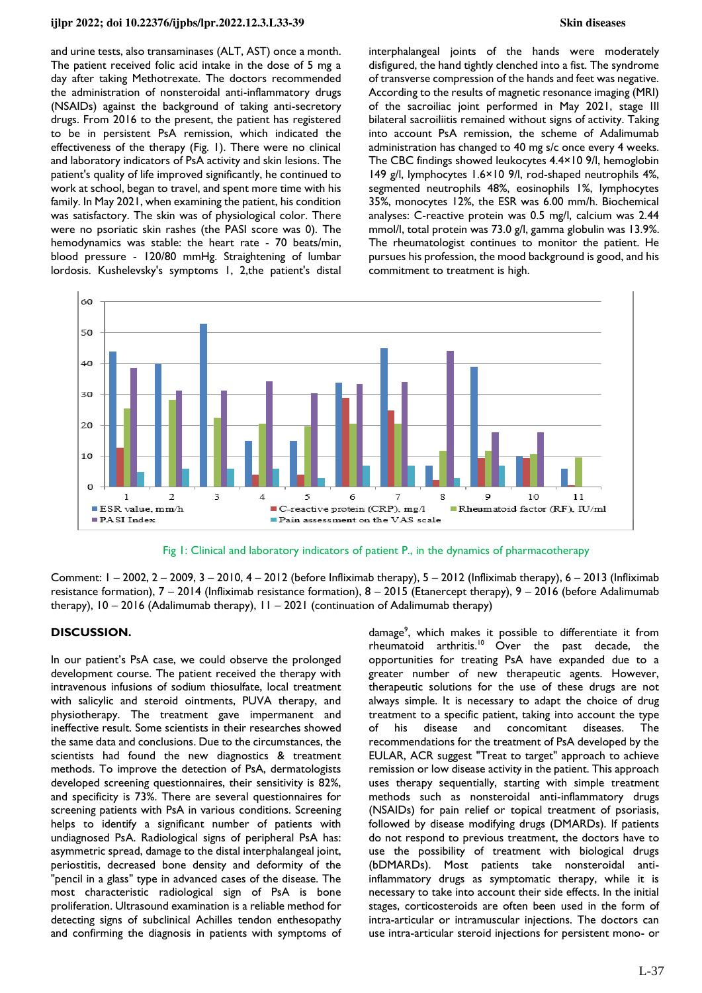### **ijlpr 2022; doi 10.22376/ijpbs/lpr.2022.12.3.L33-39 Skin diseases**

and urine tests, also transaminases (ALT, AST) once a month. The patient received folic acid intake in the dose of 5 mg a day after taking Methotrexate. The doctors recommended the administration of nonsteroidal anti-inflammatory drugs (NSAIDs) against the background of taking anti-secretory drugs. From 2016 to the present, the patient has registered to be in persistent PsA remission, which indicated the effectiveness of the therapy (Fig. 1). There were no clinical and laboratory indicators of PsA activity and skin lesions. The patient's quality of life improved significantly, he continued to work at school, began to travel, and spent more time with his family. In May 2021, when examining the patient, his condition was satisfactory. The skin was of physiological color. There were no psoriatic skin rashes (the PASI score was 0). The hemodynamics was stable: the heart rate - 70 beats/min, blood pressure - 120/80 mmHg. Straightening of lumbar lordosis. Kushelevsky's symptoms 1, 2,the patient's distal interphalangeal joints of the hands were moderately disfigured, the hand tightly clenched into a fist. The syndrome of transverse compression of the hands and feet was negative. According to the results of magnetic resonance imaging (MRI) of the sacroiliac joint performed in May 2021, stage III bilateral sacroiliitis remained without signs of activity. Taking into account PsA remission, the scheme of Adalimumab administration has changed to 40 mg s/c once every 4 weeks. The CBC findings showed leukocytes 4.4×10 9/l, hemoglobin 149 g/l, lymphocytes 1.6×10 9/l, rod-shaped neutrophils 4%, segmented neutrophils 48%, eosinophils 1%, lymphocytes 35%, monocytes 12%, the ESR was 6.00 mm/h. Biochemical analyses: C-reactive protein was 0.5 mg/l, calcium was 2.44 mmol/l, total protein was 73.0 g/l, gamma globulin was 13.9%. The rheumatologist continues to monitor the patient. He pursues his profession, the mood background is good, and his commitment to treatment is high.



Fig 1: Clinical and laboratory indicators of patient P., in the dynamics of pharmacotherapy

Comment: 1 – 2002, 2 – 2009, 3 – 2010, 4 – 2012 (before Infliximab therapy), 5 – 2012 (Infliximab therapy), 6 – 2013 (Infliximab resistance formation), 7 – 2014 (Infliximab resistance formation), 8 – 2015 (Etanercept therapy), 9 – 2016 (before Adalimumab therapy), 10 – 2016 (Adalimumab therapy), 11 – 2021 (continuation of Adalimumab therapy)

### **DISCUSSION.**

In our patient's PsA case, we could observe the prolonged development course. The patient received the therapy with intravenous infusions of sodium thiosulfate, local treatment with salicylic and steroid ointments, PUVA therapy, and physiotherapy. The treatment gave impermanent and ineffective result. Some scientists in their researches showed the same data and conclusions. Due to the circumstances, the scientists had found the new diagnostics & treatment methods. To improve the detection of PsA, dermatologists developed screening questionnaires, their sensitivity is 82%, and specificity is 73%. There are several questionnaires for screening patients with PsA in various conditions. Screening helps to identify a significant number of patients with undiagnosed PsA. Radiological signs of peripheral PsA has: asymmetric spread, damage to the distal interphalangeal joint, periostitis, decreased bone density and deformity of the "pencil in a glass" type in advanced cases of the disease. The most characteristic radiological sign of PsA is bone proliferation. Ultrasound examination is a reliable method for detecting signs of subclinical Achilles tendon enthesopathy and confirming the diagnosis in patients with symptoms of

damage<sup>9</sup>, which makes it possible to differentiate it from rheumatoid arthritis.<sup>10</sup> Over the past decade, the opportunities for treating PsA have expanded due to a greater number of new therapeutic agents. However, therapeutic solutions for the use of these drugs are not always simple. It is necessary to adapt the choice of drug treatment to a specific patient, taking into account the type of his disease and concomitant diseases. The recommendations for the treatment of PsA developed by the EULAR, ACR suggest "Treat to target" approach to achieve remission or low disease activity in the patient. This approach uses therapy sequentially, starting with simple treatment methods such as nonsteroidal anti-inflammatory drugs (NSAIDs) for pain relief or topical treatment of psoriasis, followed by disease modifying drugs (DMARDs). If patients do not respond to previous treatment, the doctors have to use the possibility of treatment with biological drugs (bDMARDs). Most patients take nonsteroidal antiinflammatory drugs as symptomatic therapy, while it is necessary to take into account their side effects. In the initial stages, corticosteroids are often been used in the form of intra-articular or intramuscular injections. The doctors can use intra-articular steroid injections for persistent mono- or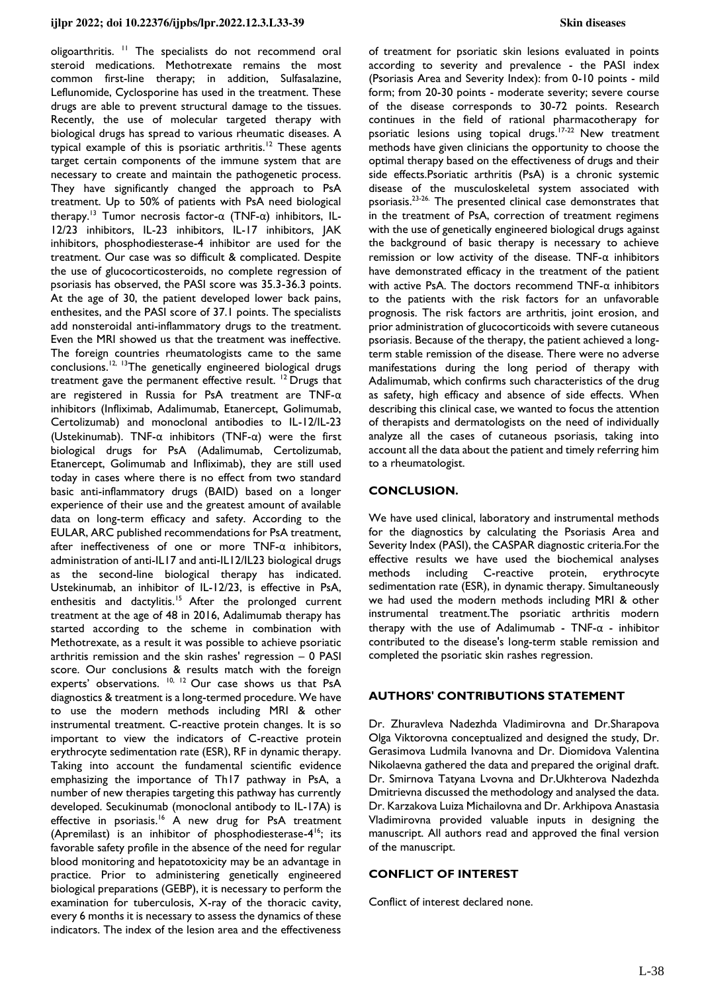oligoarthritis. <sup>11</sup> The specialists do not recommend oral steroid medications. Methotrexate remains the most common first-line therapy; in addition, Sulfasalazine, Leflunomide, Cyclosporine has used in the treatment. These drugs are able to prevent structural damage to the tissues. Recently, the use of molecular targeted therapy with biological drugs has spread to various rheumatic diseases. A typical example of this is psoriatic arthritis.<sup>12</sup> These agents target certain components of the immune system that are necessary to create and maintain the pathogenetic process. They have significantly changed the approach to PsA treatment. Up to 50% of patients with PsA need biological therapy.<sup>13</sup> Tumor necrosis factor-α (TNF-α) inhibitors, IL-12/23 inhibitors, IL-23 inhibitors, IL-17 inhibitors, JAK inhibitors, phosphodiesterase-4 inhibitor are used for the treatment. Our case was so difficult & complicated. Despite the use of glucocorticosteroids, no complete regression of psoriasis has observed, the PASI score was 35.3-36.3 points. At the age of 30, the patient developed lower back pains, enthesites, and the PASI score of 37.1 points. The specialists add nonsteroidal anti-inflammatory drugs to the treatment. Even the MRI showed us that the treatment was ineffective. The foreign countries rheumatologists came to the same conclusions.12, 13The genetically engineered biological drugs treatment gave the permanent effective result.  $12$  Drugs that are registered in Russia for PsA treatment are TNF-α inhibitors (Infliximab, Adalimumab, Etanercept, Golimumab, Certolizumab) and monoclonal antibodies to IL-12/IL-23 (Ustekinumab). TNF-α inhibitors (TNF-α) were the first biological drugs for PsA (Adalimumab, Certolizumab, Etanercept, Golimumab and Infliximab), they are still used today in cases where there is no effect from two standard basic anti-inflammatory drugs (BAID) based on a longer experience of their use and the greatest amount of available data on long-term efficacy and safety. According to the EULAR, ARC published recommendations for PsA treatment, after ineffectiveness of one or more TNF-α inhibitors, administration of anti-IL17 and anti-IL12/IL23 biological drugs as the second-line biological therapy has indicated. Ustekinumab, an inhibitor of IL-12/23, is effective in PsA, enthesitis and dactylitis.<sup>15</sup> After the prolonged current treatment at the age of 48 in 2016, Adalimumab therapy has started according to the scheme in combination with Methotrexate, as a result it was possible to achieve psoriatic arthritis remission and the skin rashes' regression – 0 PASI score. Our conclusions & results match with the foreign experts' observations. <sup>10, 12</sup> Our case shows us that PsA diagnostics & treatment is a long-termed procedure. We have to use the modern methods including MRI & other instrumental treatment. C-reactive protein changes. It is so important to view the indicators of C-reactive protein erythrocyte sedimentation rate (ESR), RF in dynamic therapy. Taking into account the fundamental scientific evidence emphasizing the importance of Th17 pathway in PsA, a number of new therapies targeting this pathway has currently developed. Secukinumab (monoclonal antibody to IL-17A) is effective in psoriasis.<sup>16</sup> A new drug for PsA treatment (Apremilast) is an inhibitor of phosphodiesterase-4<sup>16</sup>; its favorable safety profile in the absence of the need for regular blood monitoring and hepatotoxicity may be an advantage in practice. Prior to administering genetically engineered biological preparations (GEBP), it is necessary to perform the examination for tuberculosis, X-ray of the thoracic cavity, every 6 months it is necessary to assess the dynamics of these indicators. The index of the lesion area and the effectiveness

of treatment for psoriatic skin lesions evaluated in points according to severity and prevalence - the PASI index (Psoriasis Area and Severity Index): from 0-10 points - mild form; from 20-30 points - moderate severity; severe course of the disease corresponds to 30-72 points. Research continues in the field of rational pharmacotherapy for psoriatic lesions using topical drugs.<sup>17-22</sup> New treatment methods have given clinicians the opportunity to choose the optimal therapy based on the effectiveness of drugs and their side effects.Psoriatic arthritis (PsA) is a chronic systemic disease of the musculoskeletal system associated with psoriasis.23-26. The presented clinical case demonstrates that in the treatment of PsA, correction of treatment regimens with the use of genetically engineered biological drugs against the background of basic therapy is necessary to achieve remission or low activity of the disease. TNF-α inhibitors have demonstrated efficacy in the treatment of the patient with active PsA. The doctors recommend TNF-α inhibitors to the patients with the risk factors for an unfavorable prognosis. The risk factors are arthritis, joint erosion, and prior administration of glucocorticoids with severe cutaneous psoriasis. Because of the therapy, the patient achieved a longterm stable remission of the disease. There were no adverse manifestations during the long period of therapy with Adalimumab, which confirms such characteristics of the drug as safety, high efficacy and absence of side effects. When describing this clinical case, we wanted to focus the attention of therapists and dermatologists on the need of individually analyze all the cases of cutaneous psoriasis, taking into account all the data about the patient and timely referring him to a rheumatologist.

### **CONCLUSION.**

We have used clinical, laboratory and instrumental methods for the diagnostics by calculating the Psoriasis Area and Severity Index (PASI), the CASPAR diagnostic criteria.For the effective results we have used the biochemical analyses methods including C-reactive protein, erythrocyte sedimentation rate (ESR), in dynamic therapy. Simultaneously we had used the modern methods including MRI & other instrumental treatment.The psoriatic arthritis modern therapy with the use of Adalimumab - TNF- $\alpha$  - inhibitor contributed to the disease's long-term stable remission and completed the psoriatic skin rashes regression.

## **AUTHORS' CONTRIBUTIONS STATEMENT**

Dr. Zhuravleva Nadezhda Vladimirovna and Dr.Sharapova Olga Viktorovna conceptualized and designed the study, Dr. Gerasimova Ludmila Ivanovna and Dr. Diomidova Valentina Nikolaevna gathered the data and prepared the original draft. Dr. Smirnova Tatyana Lvovna and Dr.Ukhterova Nadezhda Dmitrievna discussed the methodology and analysed the data. Dr. Karzakova Luiza Michailovna and Dr. Arkhipova Anastasia Vladimirovna provided valuable inputs in designing the manuscript. All authors read and approved the final version of the manuscript.

### **CONFLICT OF INTEREST**

Conflict of interest declared none.